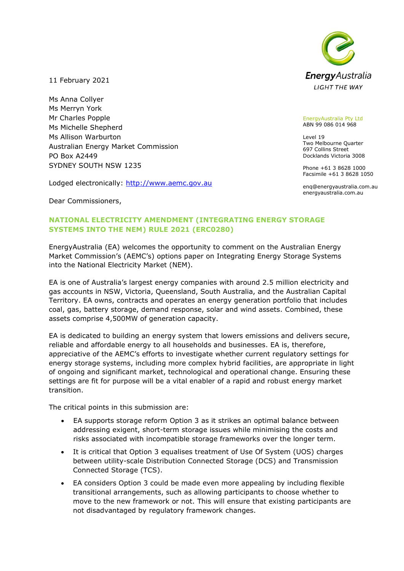

11 February 2021

Ms Anna Collyer Ms Merryn York Mr Charles Popple Ms Michelle Shepherd Ms Allison Warburton Australian Energy Market Commission PO Box A2449 SYDNEY SOUTH NSW 1235

Lodged electronically: [http://www.aemc.gov.au](http://www.aemc.gov.au/)

EnergyAustralia Pty Ltd ABN 99 086 014 968

Level 19 Two Melbourne Quarter 697 Collins Street Docklands Victoria 3008

Phone +61 3 8628 1000 Facsimile +61 3 8628 1050

enq@energyaustralia.com.au energyaustralia.com.au

Dear Commissioners,

# **NATIONAL ELECTRICITY AMENDMENT (INTEGRATING ENERGY STORAGE SYSTEMS INTO THE NEM) RULE 2021 (ERC0280)**

EnergyAustralia (EA) welcomes the opportunity to comment on the Australian Energy Market Commission's (AEMC's) options paper on Integrating Energy Storage Systems into the National Electricity Market (NEM).

EA is one of Australia's largest energy companies with around 2.5 million electricity and gas accounts in NSW, Victoria, Queensland, South Australia, and the Australian Capital Territory. EA owns, contracts and operates an energy generation portfolio that includes coal, gas, battery storage, demand response, solar and wind assets. Combined, these assets comprise 4,500MW of generation capacity.

EA is dedicated to building an energy system that lowers emissions and delivers secure, reliable and affordable energy to all households and businesses. EA is, therefore, appreciative of the AEMC's efforts to investigate whether current regulatory settings for energy storage systems, including more complex hybrid facilities, are appropriate in light of ongoing and significant market, technological and operational change. Ensuring these settings are fit for purpose will be a vital enabler of a rapid and robust energy market transition.

The critical points in this submission are:

- EA supports storage reform Option 3 as it strikes an optimal balance between addressing exigent, short-term storage issues while minimising the costs and risks associated with incompatible storage frameworks over the longer term.
- It is critical that Option 3 equalises treatment of Use Of System (UOS) charges between utility-scale Distribution Connected Storage (DCS) and Transmission Connected Storage (TCS).
- EA considers Option 3 could be made even more appealing by including flexible transitional arrangements, such as allowing participants to choose whether to move to the new framework or not. This will ensure that existing participants are not disadvantaged by regulatory framework changes.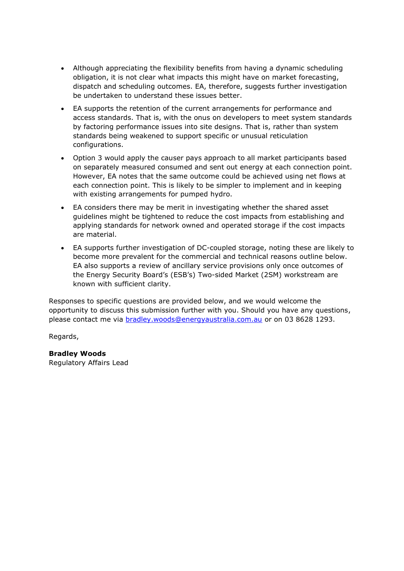- Although appreciating the flexibility benefits from having a dynamic scheduling obligation, it is not clear what impacts this might have on market forecasting, dispatch and scheduling outcomes. EA, therefore, suggests further investigation be undertaken to understand these issues better.
- EA supports the retention of the current arrangements for performance and access standards. That is, with the onus on developers to meet system standards by factoring performance issues into site designs. That is, rather than system standards being weakened to support specific or unusual reticulation configurations.
- Option 3 would apply the causer pays approach to all market participants based on separately measured consumed and sent out energy at each connection point. However, EA notes that the same outcome could be achieved using net flows at each connection point. This is likely to be simpler to implement and in keeping with existing arrangements for pumped hydro.
- EA considers there may be merit in investigating whether the shared asset guidelines might be tightened to reduce the cost impacts from establishing and applying standards for network owned and operated storage if the cost impacts are material.
- EA supports further investigation of DC-coupled storage, noting these are likely to become more prevalent for the commercial and technical reasons outline below. EA also supports a review of ancillary service provisions only once outcomes of the Energy Security Board's (ESB's) Two-sided Market (2SM) workstream are known with sufficient clarity.

Responses to specific questions are provided below, and we would welcome the opportunity to discuss this submission further with you. Should you have any questions, please contact me via [bradley.woods@energyaustralia.com.au](mailto:bradley.woods@energyaustralia.com.au) or on 03 8628 1293.

Regards,

#### **Bradley Woods** Regulatory Affairs Lead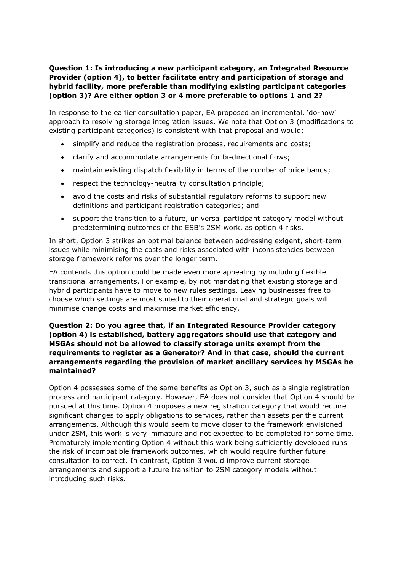**Question 1: Is introducing a new participant category, an Integrated Resource Provider (option 4), to better facilitate entry and participation of storage and hybrid facility, more preferable than modifying existing participant categories (option 3)? Are either option 3 or 4 more preferable to options 1 and 2?**

In response to the earlier consultation paper, EA proposed an incremental, 'do-now' approach to resolving storage integration issues. We note that Option 3 (modifications to existing participant categories) is consistent with that proposal and would:

- simplify and reduce the registration process, requirements and costs;
- clarify and accommodate arrangements for bi-directional flows;
- maintain existing dispatch flexibility in terms of the number of price bands;
- respect the technology-neutrality consultation principle;
- avoid the costs and risks of substantial regulatory reforms to support new definitions and participant registration categories; and
- support the transition to a future, universal participant category model without predetermining outcomes of the ESB's 2SM work, as option 4 risks.

In short, Option 3 strikes an optimal balance between addressing exigent, short-term issues while minimising the costs and risks associated with inconsistencies between storage framework reforms over the longer term.

EA contends this option could be made even more appealing by including flexible transitional arrangements. For example, by not mandating that existing storage and hybrid participants have to move to new rules settings. Leaving businesses free to choose which settings are most suited to their operational and strategic goals will minimise change costs and maximise market efficiency.

## **Question 2: Do you agree that, if an Integrated Resource Provider category (option 4) is established, battery aggregators should use that category and MSGAs should not be allowed to classify storage units exempt from the requirements to register as a Generator? And in that case, should the current arrangements regarding the provision of market ancillary services by MSGAs be maintained?**

Option 4 possesses some of the same benefits as Option 3, such as a single registration process and participant category. However, EA does not consider that Option 4 should be pursued at this time. Option 4 proposes a new registration category that would require significant changes to apply obligations to services, rather than assets per the current arrangements. Although this would seem to move closer to the framework envisioned under 2SM, this work is very immature and not expected to be completed for some time. Prematurely implementing Option 4 without this work being sufficiently developed runs the risk of incompatible framework outcomes, which would require further future consultation to correct. In contrast, Option 3 would improve current storage arrangements and support a future transition to 2SM category models without introducing such risks.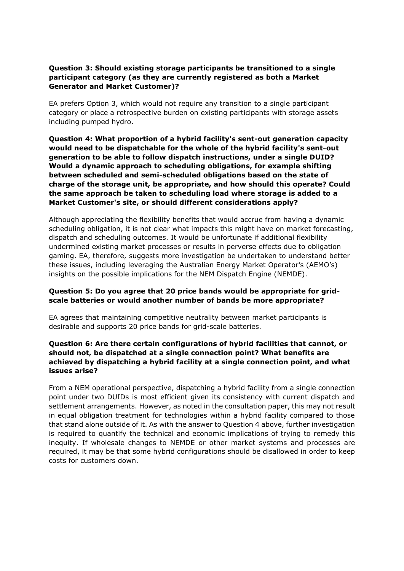# **Question 3: Should existing storage participants be transitioned to a single participant category (as they are currently registered as both a Market Generator and Market Customer)?**

EA prefers Option 3, which would not require any transition to a single participant category or place a retrospective burden on existing participants with storage assets including pumped hydro.

**Question 4: What proportion of a hybrid facility's sent-out generation capacity would need to be dispatchable for the whole of the hybrid facility's sent-out generation to be able to follow dispatch instructions, under a single DUID? Would a dynamic approach to scheduling obligations, for example shifting between scheduled and semi-scheduled obligations based on the state of charge of the storage unit, be appropriate, and how should this operate? Could the same approach be taken to scheduling load where storage is added to a Market Customer's site, or should different considerations apply?**

Although appreciating the flexibility benefits that would accrue from having a dynamic scheduling obligation, it is not clear what impacts this might have on market forecasting, dispatch and scheduling outcomes. It would be unfortunate if additional flexibility undermined existing market processes or results in perverse effects due to obligation gaming. EA, therefore, suggests more investigation be undertaken to understand better these issues, including leveraging the Australian Energy Market Operator's (AEMO's) insights on the possible implications for the NEM Dispatch Engine (NEMDE).

## **Question 5: Do you agree that 20 price bands would be appropriate for gridscale batteries or would another number of bands be more appropriate?**

EA agrees that maintaining competitive neutrality between market participants is desirable and supports 20 price bands for grid-scale batteries.

## **Question 6: Are there certain configurations of hybrid facilities that cannot, or should not, be dispatched at a single connection point? What benefits are achieved by dispatching a hybrid facility at a single connection point, and what issues arise?**

From a NEM operational perspective, dispatching a hybrid facility from a single connection point under two DUIDs is most efficient given its consistency with current dispatch and settlement arrangements. However, as noted in the consultation paper, this may not result in equal obligation treatment for technologies within a hybrid facility compared to those that stand alone outside of it. As with the answer to Question 4 above, further investigation is required to quantify the technical and economic implications of trying to remedy this inequity. If wholesale changes to NEMDE or other market systems and processes are required, it may be that some hybrid configurations should be disallowed in order to keep costs for customers down.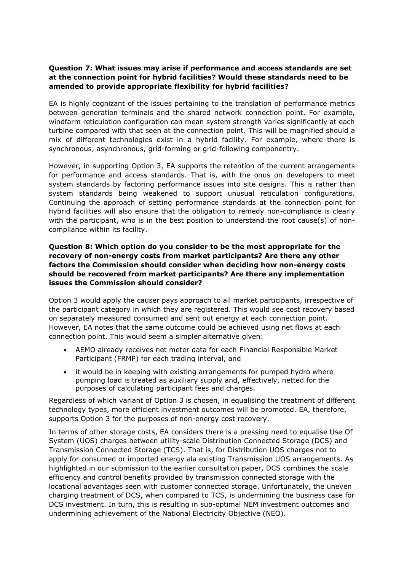# **Question 7: What issues may arise if performance and access standards are set at the connection point for hybrid facilities? Would these standards need to be amended to provide appropriate flexibility for hybrid facilities?**

EA is highly cognizant of the issues pertaining to the translation of performance metrics between generation terminals and the shared network connection point. For example, windfarm reticulation configuration can mean system strength varies significantly at each turbine compared with that seen at the connection point. This will be magnified should a mix of different technologies exist in a hybrid facility. For example, where there is synchronous, asynchronous, grid-forming or grid-following componentry.

However, in supporting Option 3, EA supports the retention of the current arrangements for performance and access standards. That is, with the onus on developers to meet system standards by factoring performance issues into site designs. This is rather than system standards being weakened to support unusual reticulation configurations. Continuing the approach of setting performance standards at the connection point for hybrid facilities will also ensure that the obligation to remedy non-compliance is clearly with the participant, who is in the best position to understand the root cause(s) of noncompliance within its facility.

## **Question 8: Which option do you consider to be the most appropriate for the recovery of non-energy costs from market participants? Are there any other factors the Commission should consider when deciding how non-energy costs should be recovered from market participants? Are there any implementation issues the Commission should consider?**

Option 3 would apply the causer pays approach to all market participants, irrespective of the participant category in which they are registered. This would see cost recovery based on separately measured consumed and sent out energy at each connection point. However, EA notes that the same outcome could be achieved using net flows at each connection point. This would seem a simpler alternative given:

- AEMO already receives net meter data for each Financial Responsible Market Participant (FRMP) for each trading interval, and
- it would be in keeping with existing arrangements for pumped hydro where pumping load is treated as auxiliary supply and, effectively, netted for the purposes of calculating participant fees and charges.

Regardless of which variant of Option 3 is chosen, in equalising the treatment of different technology types, more efficient investment outcomes will be promoted. EA, therefore, supports Option 3 for the purposes of non-energy cost recovery.

In terms of other storage costs, EA considers there is a pressing need to equalise Use Of System (UOS) charges between utility-scale Distribution Connected Storage (DCS) and Transmission Connected Storage (TCS). That is, for Distribution UOS charges not to apply for consumed or imported energy ala existing Transmission UOS arrangements. As highlighted in our submission to the earlier consultation paper, DCS combines the scale efficiency and control benefits provided by transmission connected storage with the locational advantages seen with customer connected storage. Unfortunately, the uneven charging treatment of DCS, when compared to TCS, is undermining the business case for DCS investment. In turn, this is resulting in sub-optimal NEM investment outcomes and undermining achievement of the National Electricity Objective (NEO).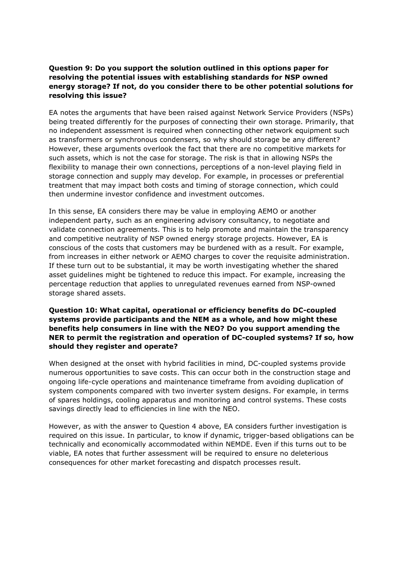# **Question 9: Do you support the solution outlined in this options paper for resolving the potential issues with establishing standards for NSP owned energy storage? If not, do you consider there to be other potential solutions for resolving this issue?**

EA notes the arguments that have been raised against Network Service Providers (NSPs) being treated differently for the purposes of connecting their own storage. Primarily, that no independent assessment is required when connecting other network equipment such as transformers or synchronous condensers, so why should storage be any different? However, these arguments overlook the fact that there are no competitive markets for such assets, which is not the case for storage. The risk is that in allowing NSPs the flexibility to manage their own connections, perceptions of a non-level playing field in storage connection and supply may develop. For example, in processes or preferential treatment that may impact both costs and timing of storage connection, which could then undermine investor confidence and investment outcomes.

In this sense, EA considers there may be value in employing AEMO or another independent party, such as an engineering advisory consultancy, to negotiate and validate connection agreements. This is to help promote and maintain the transparency and competitive neutrality of NSP owned energy storage projects. However, EA is conscious of the costs that customers may be burdened with as a result. For example, from increases in either network or AEMO charges to cover the requisite administration. If these turn out to be substantial, it may be worth investigating whether the shared asset guidelines might be tightened to reduce this impact. For example, increasing the percentage reduction that applies to unregulated revenues earned from NSP-owned storage shared assets.

# **Question 10: What capital, operational or efficiency benefits do DC-coupled systems provide participants and the NEM as a whole, and how might these benefits help consumers in line with the NEO? Do you support amending the NER to permit the registration and operation of DC-coupled systems? If so, how should they register and operate?**

When designed at the onset with hybrid facilities in mind, DC-coupled systems provide numerous opportunities to save costs. This can occur both in the construction stage and ongoing life-cycle operations and maintenance timeframe from avoiding duplication of system components compared with two inverter system designs. For example, in terms of spares holdings, cooling apparatus and monitoring and control systems. These costs savings directly lead to efficiencies in line with the NEO.

However, as with the answer to Question 4 above, EA considers further investigation is required on this issue. In particular, to know if dynamic, trigger-based obligations can be technically and economically accommodated within NEMDE. Even if this turns out to be viable, EA notes that further assessment will be required to ensure no deleterious consequences for other market forecasting and dispatch processes result.